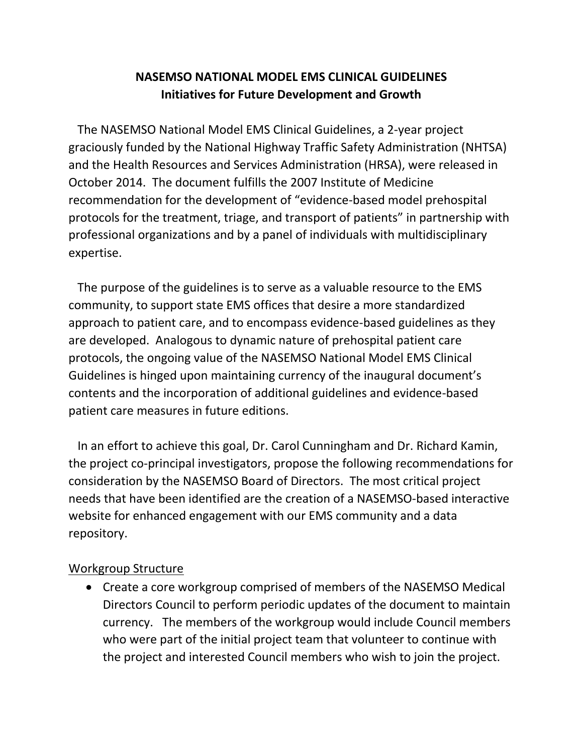# **NASEMSO NATIONAL MODEL EMS CLINICAL GUIDELINES Initiatives for Future Development and Growth**

 The NASEMSO National Model EMS Clinical Guidelines, a 2-year project graciously funded by the National Highway Traffic Safety Administration (NHTSA) and the Health Resources and Services Administration (HRSA), were released in October 2014. The document fulfills the 2007 Institute of Medicine recommendation for the development of "evidence-based model prehospital protocols for the treatment, triage, and transport of patients" in partnership with professional organizations and by a panel of individuals with multidisciplinary expertise.

 The purpose of the guidelines is to serve as a valuable resource to the EMS community, to support state EMS offices that desire a more standardized approach to patient care, and to encompass evidence-based guidelines as they are developed. Analogous to dynamic nature of prehospital patient care protocols, the ongoing value of the NASEMSO National Model EMS Clinical Guidelines is hinged upon maintaining currency of the inaugural document's contents and the incorporation of additional guidelines and evidence-based patient care measures in future editions.

 In an effort to achieve this goal, Dr. Carol Cunningham and Dr. Richard Kamin, the project co-principal investigators, propose the following recommendations for consideration by the NASEMSO Board of Directors. The most critical project needs that have been identified are the creation of a NASEMSO-based interactive website for enhanced engagement with our EMS community and a data repository.

#### Workgroup Structure

 Create a core workgroup comprised of members of the NASEMSO Medical Directors Council to perform periodic updates of the document to maintain currency. The members of the workgroup would include Council members who were part of the initial project team that volunteer to continue with the project and interested Council members who wish to join the project.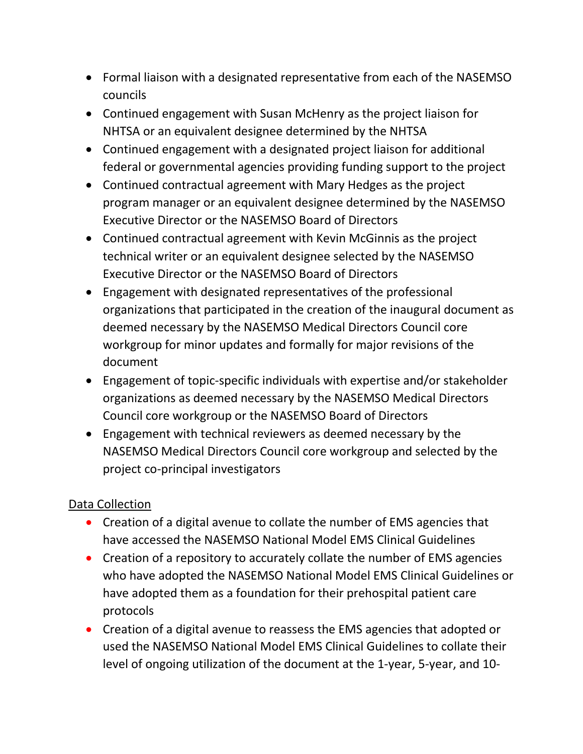- Formal liaison with a designated representative from each of the NASEMSO councils
- Continued engagement with Susan McHenry as the project liaison for NHTSA or an equivalent designee determined by the NHTSA
- Continued engagement with a designated project liaison for additional federal or governmental agencies providing funding support to the project
- Continued contractual agreement with Mary Hedges as the project program manager or an equivalent designee determined by the NASEMSO Executive Director or the NASEMSO Board of Directors
- Continued contractual agreement with Kevin McGinnis as the project technical writer or an equivalent designee selected by the NASEMSO Executive Director or the NASEMSO Board of Directors
- Engagement with designated representatives of the professional organizations that participated in the creation of the inaugural document as deemed necessary by the NASEMSO Medical Directors Council core workgroup for minor updates and formally for major revisions of the document
- Engagement of topic-specific individuals with expertise and/or stakeholder organizations as deemed necessary by the NASEMSO Medical Directors Council core workgroup or the NASEMSO Board of Directors
- Engagement with technical reviewers as deemed necessary by the NASEMSO Medical Directors Council core workgroup and selected by the project co-principal investigators

### Data Collection

- Creation of a digital avenue to collate the number of EMS agencies that have accessed the NASEMSO National Model EMS Clinical Guidelines
- Creation of a repository to accurately collate the number of EMS agencies who have adopted the NASEMSO National Model EMS Clinical Guidelines or have adopted them as a foundation for their prehospital patient care protocols
- Creation of a digital avenue to reassess the EMS agencies that adopted or used the NASEMSO National Model EMS Clinical Guidelines to collate their level of ongoing utilization of the document at the 1-year, 5-year, and 10-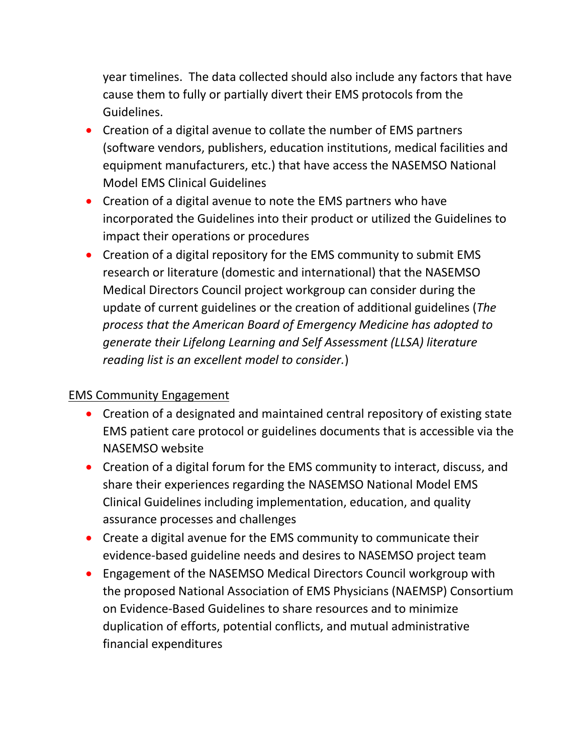year timelines. The data collected should also include any factors that have cause them to fully or partially divert their EMS protocols from the Guidelines.

- Creation of a digital avenue to collate the number of EMS partners (software vendors, publishers, education institutions, medical facilities and equipment manufacturers, etc.) that have access the NASEMSO National Model EMS Clinical Guidelines
- Creation of a digital avenue to note the EMS partners who have incorporated the Guidelines into their product or utilized the Guidelines to impact their operations or procedures
- Creation of a digital repository for the EMS community to submit EMS research or literature (domestic and international) that the NASEMSO Medical Directors Council project workgroup can consider during the update of current guidelines or the creation of additional guidelines (*The process that the American Board of Emergency Medicine has adopted to generate their Lifelong Learning and Self Assessment (LLSA) literature reading list is an excellent model to consider.*)

# EMS Community Engagement

- Creation of a designated and maintained central repository of existing state EMS patient care protocol or guidelines documents that is accessible via the NASEMSO website
- Creation of a digital forum for the EMS community to interact, discuss, and share their experiences regarding the NASEMSO National Model EMS Clinical Guidelines including implementation, education, and quality assurance processes and challenges
- Create a digital avenue for the EMS community to communicate their evidence-based guideline needs and desires to NASEMSO project team
- Engagement of the NASEMSO Medical Directors Council workgroup with the proposed National Association of EMS Physicians (NAEMSP) Consortium on Evidence-Based Guidelines to share resources and to minimize duplication of efforts, potential conflicts, and mutual administrative financial expenditures